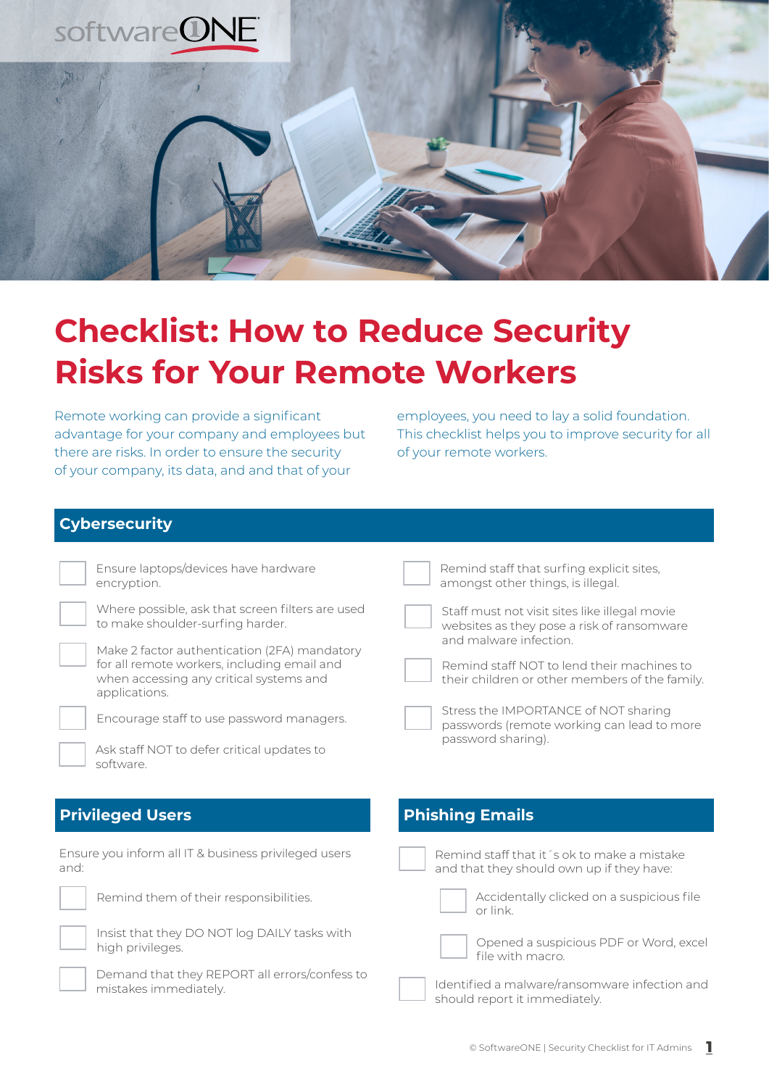

# **Checklist: How to Reduce Security Risks for Your Remote Workers**

Remote working can provide a significant advantage for your company and employees but there are risks. In order to ensure the security of your company, its data, and and that of your

employees, you need to lay a solid foundation. This checklist helps you to improve security for all of your remote workers.

### **Cybersecurity**



Where possible, ask that screen filters are used to make shoulder-surfing harder.



Make 2 factor authentication (2FA) mandatory for all remote workers, including email and when accessing any critical systems and applications.



Encourage staff to use password managers.

Ask staff NOT to defer critical updates to software.

### **Privileged Users**

Ensure you inform all IT & business privileged users and:



Remind them of their responsibilities.



Demand that they REPORT all errors/confess to mistakes immediately.

### Remind staff that surfing explicit sites, amongst other things, is illegal.

Staff must not visit sites like illegal movie websites as they pose a risk of ransomware and malware infection.





Stress the IMPORTANCE of NOT sharing passwords (remote working can lead to more password sharing).

### **Phishing Emails**



Accidentally clicked on a suspicious file or link.



Opened a suspicious PDF or Word, excel file with macro.

Identified a malware/ransomware infection and should report it immediately.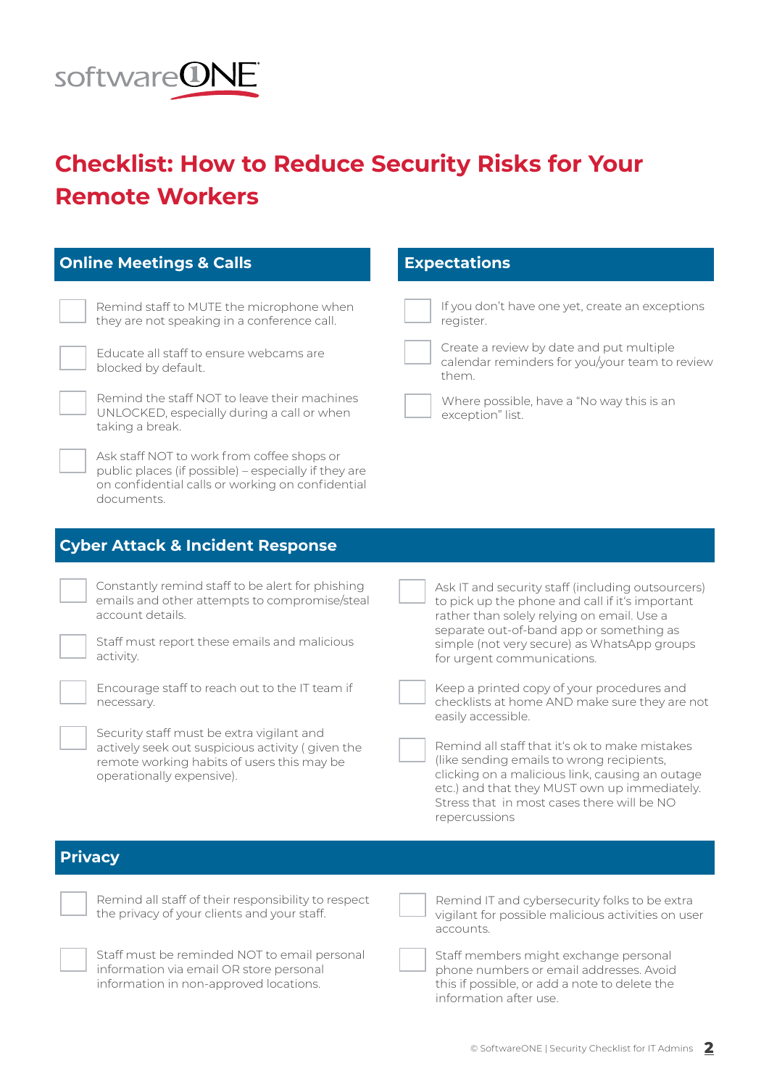

# **Checklist: How to Reduce Security Risks for Your Remote Workers**

| <b>Online Meetings &amp; Calls</b>                                                                                                                                                                                                                 | <b>Expectations</b>                                                                                                                                                                                                                                                                                                                                                        |
|----------------------------------------------------------------------------------------------------------------------------------------------------------------------------------------------------------------------------------------------------|----------------------------------------------------------------------------------------------------------------------------------------------------------------------------------------------------------------------------------------------------------------------------------------------------------------------------------------------------------------------------|
| Remind staff to MUTE the microphone when<br>they are not speaking in a conference call.                                                                                                                                                            | If you don't have one yet, create an exceptions<br>register.                                                                                                                                                                                                                                                                                                               |
| Educate all staff to ensure webcams are<br>blocked by default.                                                                                                                                                                                     | Create a review by date and put multiple<br>calendar reminders for you/your team to review<br>them.                                                                                                                                                                                                                                                                        |
| Remind the staff NOT to leave their machines<br>UNLOCKED, especially during a call or when<br>taking a break.                                                                                                                                      | Where possible, have a "No way this is an<br>exception" list.                                                                                                                                                                                                                                                                                                              |
| Ask staff NOT to work from coffee shops or<br>public places (if possible) - especially if they are<br>on confidential calls or working on confidential<br>documents.                                                                               |                                                                                                                                                                                                                                                                                                                                                                            |
| <b>Cyber Attack &amp; Incident Response</b>                                                                                                                                                                                                        |                                                                                                                                                                                                                                                                                                                                                                            |
| Constantly remind staff to be alert for phishing<br>emails and other attempts to compromise/steal<br>account details.<br>Staff must report these emails and malicious<br>activity.<br>Encourage staff to reach out to the IT team if<br>necessary. | Ask IT and security staff (including outsourcers)<br>to pick up the phone and call if it's important<br>rather than solely relying on email. Use a<br>separate out-of-band app or something as<br>simple (not very secure) as WhatsApp groups<br>for urgent communications.<br>Keep a printed copy of your procedures and<br>checklists at home AND make sure they are not |
| Security staff must be extra vigilant and<br>actively seek out suspicious activity (given the<br>remote working habits of users this may be<br>operationally expensive).                                                                           | easily accessible.<br>Remind all staff that it's ok to make mistakes<br>(like sending emails to wrong recipients,<br>clicking on a malicious link, causing an outage<br>etc.) and that they MUST own up immediately.<br>Stress that in most cases there will be NO<br>repercussions                                                                                        |
| <b>Privacy</b>                                                                                                                                                                                                                                     |                                                                                                                                                                                                                                                                                                                                                                            |
| Remind all staff of their responsibility to respect<br>the privacy of your clients and your staff.                                                                                                                                                 | Remind IT and cybersecurity folks to be extra<br>vigilant for possible malicious activities on user<br>accounts.                                                                                                                                                                                                                                                           |
| Staff must be reminded NOT to email personal<br>information via email OR store personal<br>information in non-approved locations.                                                                                                                  | Staff members might exchange personal<br>phone numbers or email addresses. Avoid<br>this if possible, or add a note to delete the<br>information after use.                                                                                                                                                                                                                |